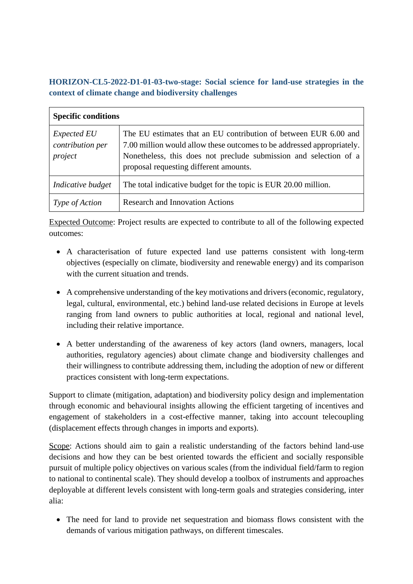**HORIZON-CL5-2022-D1-01-03-two-stage: Social science for land-use strategies in the context of climate change and biodiversity challenges**

| <b>Specific conditions</b>                        |                                                                                                                                                                                                                                                           |
|---------------------------------------------------|-----------------------------------------------------------------------------------------------------------------------------------------------------------------------------------------------------------------------------------------------------------|
| <i>Expected EU</i><br>contribution per<br>project | The EU estimates that an EU contribution of between EUR 6.00 and<br>7.00 million would allow these outcomes to be addressed appropriately.<br>Nonetheless, this does not preclude submission and selection of a<br>proposal requesting different amounts. |
| Indicative budget                                 | The total indicative budget for the topic is EUR 20.00 million.                                                                                                                                                                                           |
| Type of Action                                    | <b>Research and Innovation Actions</b>                                                                                                                                                                                                                    |

Expected Outcome: Project results are expected to contribute to all of the following expected outcomes:

- A characterisation of future expected land use patterns consistent with long-term objectives (especially on climate, biodiversity and renewable energy) and its comparison with the current situation and trends.
- A comprehensive understanding of the key motivations and drivers (economic, regulatory, legal, cultural, environmental, etc.) behind land-use related decisions in Europe at levels ranging from land owners to public authorities at local, regional and national level, including their relative importance.
- A better understanding of the awareness of key actors (land owners, managers, local authorities, regulatory agencies) about climate change and biodiversity challenges and their willingness to contribute addressing them, including the adoption of new or different practices consistent with long-term expectations.

Support to climate (mitigation, adaptation) and biodiversity policy design and implementation through economic and behavioural insights allowing the efficient targeting of incentives and engagement of stakeholders in a cost-effective manner, taking into account telecoupling (displacement effects through changes in imports and exports).

Scope: Actions should aim to gain a realistic understanding of the factors behind land-use decisions and how they can be best oriented towards the efficient and socially responsible pursuit of multiple policy objectives on various scales (from the individual field/farm to region to national to continental scale). They should develop a toolbox of instruments and approaches deployable at different levels consistent with long-term goals and strategies considering, inter alia:

 The need for land to provide net sequestration and biomass flows consistent with the demands of various mitigation pathways, on different timescales.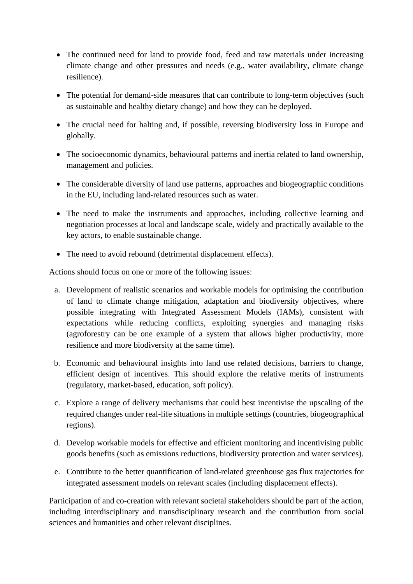- The continued need for land to provide food, feed and raw materials under increasing climate change and other pressures and needs (e.g., water availability, climate change resilience).
- The potential for demand-side measures that can contribute to long-term objectives (such as sustainable and healthy dietary change) and how they can be deployed.
- The crucial need for halting and, if possible, reversing biodiversity loss in Europe and globally.
- The socioeconomic dynamics, behavioural patterns and inertia related to land ownership, management and policies.
- The considerable diversity of land use patterns, approaches and biogeographic conditions in the EU, including land-related resources such as water.
- The need to make the instruments and approaches, including collective learning and negotiation processes at local and landscape scale, widely and practically available to the key actors, to enable sustainable change.
- The need to avoid rebound (detrimental displacement effects).

Actions should focus on one or more of the following issues:

- a. Development of realistic scenarios and workable models for optimising the contribution of land to climate change mitigation, adaptation and biodiversity objectives, where possible integrating with Integrated Assessment Models (IAMs), consistent with expectations while reducing conflicts, exploiting synergies and managing risks (agroforestry can be one example of a system that allows higher productivity, more resilience and more biodiversity at the same time).
- b. Economic and behavioural insights into land use related decisions, barriers to change, efficient design of incentives. This should explore the relative merits of instruments (regulatory, market-based, education, soft policy).
- c. Explore a range of delivery mechanisms that could best incentivise the upscaling of the required changes under real-life situations in multiple settings (countries, biogeographical regions).
- d. Develop workable models for effective and efficient monitoring and incentivising public goods benefits (such as emissions reductions, biodiversity protection and water services).
- e. Contribute to the better quantification of land-related greenhouse gas flux trajectories for integrated assessment models on relevant scales (including displacement effects).

Participation of and co-creation with relevant societal stakeholders should be part of the action, including interdisciplinary and transdisciplinary research and the contribution from social sciences and humanities and other relevant disciplines.